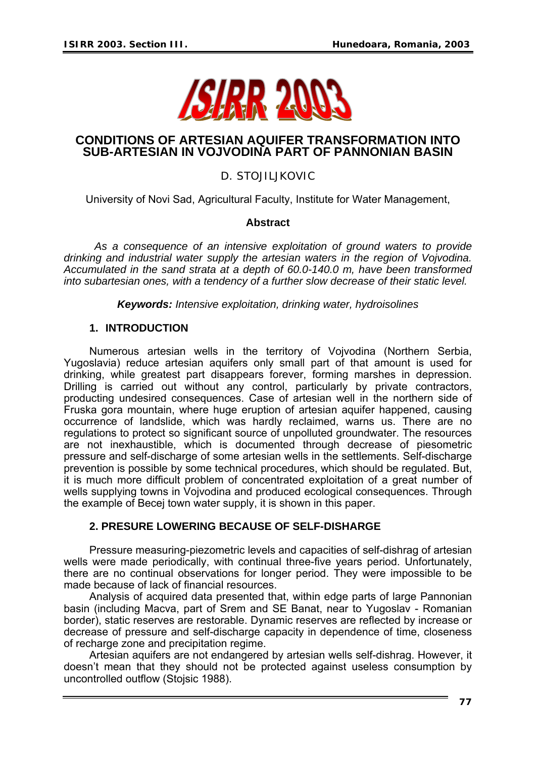

## **CONDITIONS OF ARTESIAN AQUIFER TRANSFORMATION INTO SUB-ARTESIAN IN VOJVODINA PART OF PANNONIAN BASIN**

# D. STOJILJKOVIC

University of Novi Sad, Agricultural Faculty, Institute for Water Management,

### **Abstract**

 *As a consequence of an intensive exploitation of ground waters to provide drinking and industrial water supply the artesian waters in the region of Vojvodina. Accumulated in the sand strata at a depth of 60.0-140.0 m, have been transformed into subartesian ones, with a tendency of a further slow decrease of their static level.* 

*Keywords: Intensive exploitation, drinking water, hydroisolines* 

## **1. INTRODUCTION**

Numerous artesian wells in the territory of Vojvodina (Northern Serbia, Yugoslavia) reduce artesian aquifers only small part of that amount is used for drinking, while greatest part disappears forever, forming marshes in depression. Drilling is carried out without any control, particularly by private contractors, producting undesired consequences. Case of artesian well in the northern side of Fruska gora mountain, where huge eruption of artesian aquifer happened, causing occurrence of landslide, which was hardly reclaimed, warns us. There are no regulations to protect so significant source of unpolluted groundwater. The resources are not inexhaustible, which is documented through decrease of piesometric pressure and self-discharge of some artesian wells in the settlements. Self-discharge prevention is possible by some technical procedures, which should be regulated. But, it is much more difficult problem of concentrated exploitation of a great number of wells supplying towns in Vojvodina and produced ecological consequences. Through the example of Becej town water supply, it is shown in this paper.

### **2. PRESURE LOWERING BECAUSE OF SELF-DISHARGE**

Pressure measuring-piezometric levels and capacities of self-dishrag of artesian wells were made periodically, with continual three-five years period. Unfortunately, there are no continual observations for longer period. They were impossible to be made because of lack of financial resources.

Analysis of acquired data presented that, within edge parts of large Pannonian basin (including Macva, part of Srem and SE Banat, near to Yugoslav - Romanian border), static reserves are restorable. Dynamic reserves are reflected by increase or decrease of pressure and self-discharge capacity in dependence of time, closeness of recharge zone and precipitation regime.

Artesian aquifers are not endangered by artesian wells self-dishrag. However, it doesn't mean that they should not be protected against useless consumption by uncontrolled outflow (Stojsic 1988).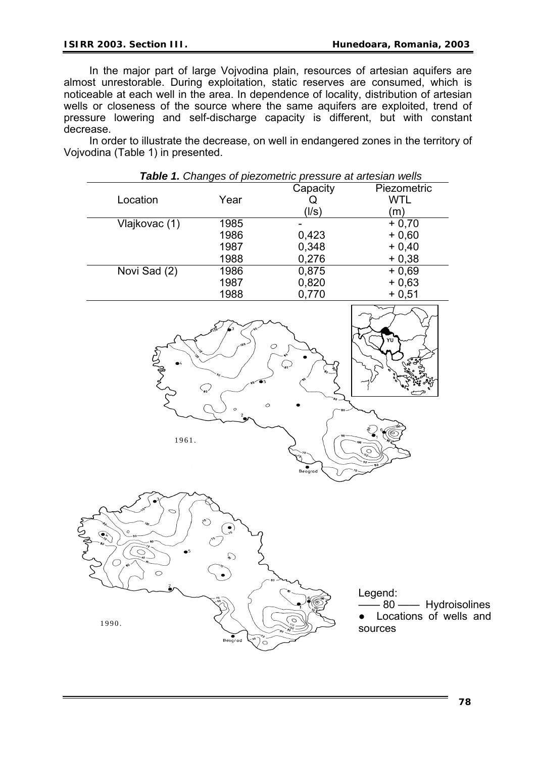In the major part of large Vojvodina plain, resources of artesian aquifers are almost unrestorable. During exploitation, static reserves are consumed, which is noticeable at each well in the area. In dependence of locality, distribution of artesian wells or closeness of the source where the same aquifers are exploited, trend of pressure lowering and self-discharge capacity is different, but with constant decrease.

In order to illustrate the decrease, on well in endangered zones in the territory of Vojvodina (Table 1) in presented.

|                                                                                                                                                                                                                                                                                                                                                                                                                   |                                                                                     | Capacity                                        | Piezometric                                                               |
|-------------------------------------------------------------------------------------------------------------------------------------------------------------------------------------------------------------------------------------------------------------------------------------------------------------------------------------------------------------------------------------------------------------------|-------------------------------------------------------------------------------------|-------------------------------------------------|---------------------------------------------------------------------------|
| Location                                                                                                                                                                                                                                                                                                                                                                                                          | Year                                                                                | Q                                               | <b>WTL</b>                                                                |
|                                                                                                                                                                                                                                                                                                                                                                                                                   |                                                                                     | (1/s)                                           | (m)                                                                       |
| Vlajkovac (1)                                                                                                                                                                                                                                                                                                                                                                                                     | 1985                                                                                |                                                 | $+0,70$                                                                   |
|                                                                                                                                                                                                                                                                                                                                                                                                                   | 1986                                                                                | 0,423                                           | $+0,60$                                                                   |
|                                                                                                                                                                                                                                                                                                                                                                                                                   | 1987                                                                                |                                                 | $+0,40$                                                                   |
|                                                                                                                                                                                                                                                                                                                                                                                                                   | <u>1988</u>                                                                         | $0,348$<br>$0,276$                              | $+0,38$                                                                   |
| Novi Sad (2)                                                                                                                                                                                                                                                                                                                                                                                                      | 1986                                                                                | 0,875                                           | $+0,69$                                                                   |
|                                                                                                                                                                                                                                                                                                                                                                                                                   | 1987                                                                                | 0,820                                           | $+0,63$                                                                   |
|                                                                                                                                                                                                                                                                                                                                                                                                                   | 1988                                                                                | 0,770                                           | $+0,51$                                                                   |
| 1961.                                                                                                                                                                                                                                                                                                                                                                                                             | Ç,<br>$\circ$                                                                       | $\circ$<br>$\binom{1}{60}$<br>$\bullet$ Beograd | YU<br>(ල<br>$\sum_{n=1}^{\infty}$                                         |
| ⊂<br>mover<br>$\circ$<br>$\begin{picture}(180,170)(-10,0) \put(0,0){\line(1,0){10}} \put(10,0){\line(1,0){10}} \put(10,0){\line(1,0){10}} \put(10,0){\line(1,0){10}} \put(10,0){\line(1,0){10}} \put(10,0){\line(1,0){10}} \put(10,0){\line(1,0){10}} \put(10,0){\line(1,0){10}} \put(10,0){\line(1,0){10}} \put(10,0){\line(1,0){10}} \put(10,0){\line(1,0){10}} \put(1$<br>$\bigcirc$<br>$\circ$<br>رة<br>1990. | Co<br>$\bullet$<br>᠗<br>$\bullet$ Beograd<br>$\tilde{\epsilon}_{\theta}$<br>$\circ$ | $\bigcirc$                                      | Legend:<br>$80 -$<br>- Hydroisolines<br>Locations of wells and<br>sources |

*Table 1. Changes of piezometric pressure at artesian wells* 

and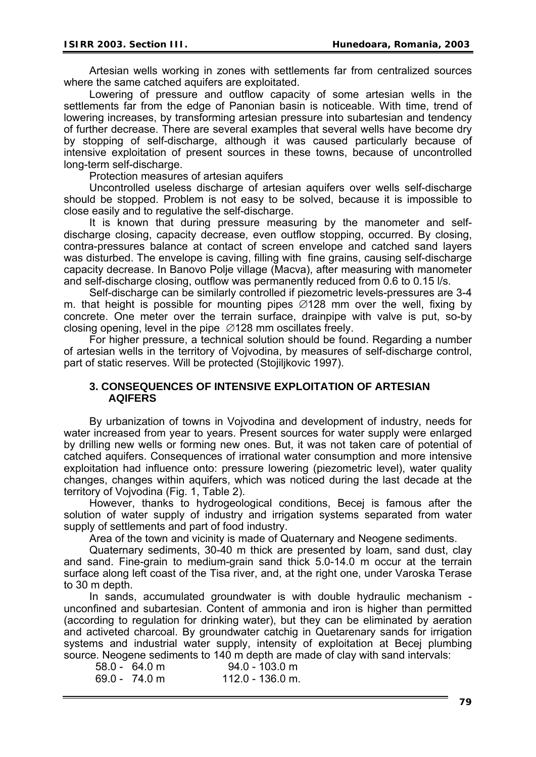Artesian wells working in zones with settlements far from centralized sources where the same catched aquifers are exploitated.

Lowering of pressure and outflow capacity of some artesian wells in the settlements far from the edge of Panonian basin is noticeable. With time, trend of lowering increases, by transforming artesian pressure into subartesian and tendency of further decrease. There are several examples that several wells have become dry by stopping of self-discharge, although it was caused particularly because of intensive exploitation of present sources in these towns, because of uncontrolled long-term self-discharge.

Protection measures of artesian aquifers

Uncontrolled useless discharge of artesian aquifers over wells self-discharge should be stopped. Problem is not easy to be solved, because it is impossible to close easily and to regulative the self-discharge.

It is known that during pressure measuring by the manometer and selfdischarge closing, capacity decrease, even outflow stopping, occurred. By closing, contra-pressures balance at contact of screen envelope and catched sand layers was disturbed. The envelope is caving, filling with fine grains, causing self-discharge capacity decrease. In Banovo Polje village (Macva), after measuring with manometer and self-discharge closing, outflow was permanently reduced from 0.6 to 0.15 l/s.

Self-discharge can be similarly controlled if piezometric levels-pressures are 3-4 m. that height is possible for mounting pipes ∅128 mm over the well, fixing by concrete. One meter over the terrain surface, drainpipe with valve is put, so-by closing opening, level in the pipe ∅128 mm oscillates freely.

For higher pressure, a technical solution should be found. Regarding a number of artesian wells in the territory of Vojvodina, by measures of self-discharge control, part of static reserves. Will be protected (Stojiljkovic 1997).

#### **3. CONSEQUENCES OF INTENSIVE EXPLOITATION OF ARTESIAN AQIFERS**

By urbanization of towns in Vojvodina and development of industry, needs for water increased from year to years. Present sources for water supply were enlarged by drilling new wells or forming new ones. But, it was not taken care of potential of catched aquifers. Consequences of irrational water consumption and more intensive exploitation had influence onto: pressure lowering (piezometric level), water quality changes, changes within aquifers, which was noticed during the last decade at the territory of Vojvodina (Fig. 1, Table 2).

However, thanks to hydrogeological conditions, Becej is famous after the solution of water supply of industry and irrigation systems separated from water supply of settlements and part of food industry.

Area of the town and vicinity is made of Quaternary and Neogene sediments.

Quaternary sediments, 30-40 m thick are presented by loam, sand dust, clay and sand. Fine-grain to medium-grain sand thick 5.0-14.0 m occur at the terrain surface along left coast of the Tisa river, and, at the right one, under Varoska Terase to 30 m depth.

In sands, accumulated groundwater is with double hydraulic mechanism unconfined and subartesian. Content of ammonia and iron is higher than permitted (according to regulation for drinking water), but they can be eliminated by aeration and activeted charcoal. By groundwater catchig in Quetarenary sands for irrigation systems and industrial water supply, intensity of exploitation at Becej plumbing source. Neogene sediments to 140 m depth are made of clay with sand intervals:

69.0 - 74.0 m 112.0 - 136.0 m.

58.0 - 64.0 m 94.0 - 103.0 m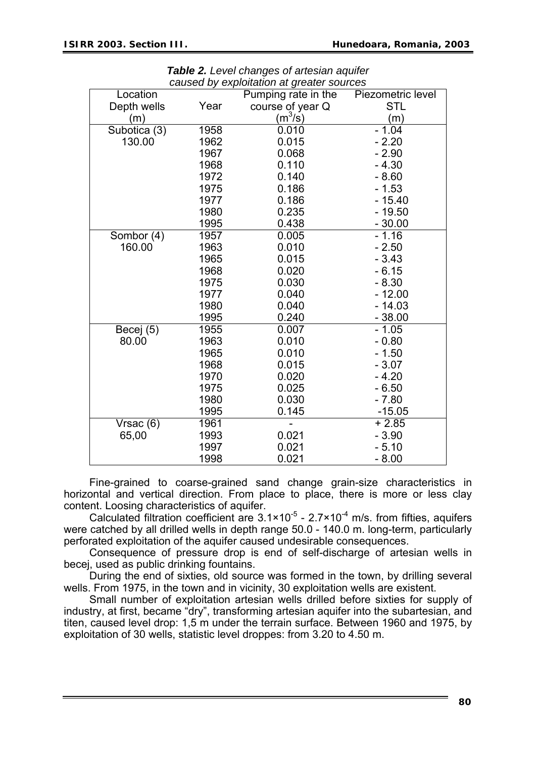| Location     |      | caused by exploitation at greater sources<br>Pumping rate in the | Piezometric level |
|--------------|------|------------------------------------------------------------------|-------------------|
| Depth wells  | Year | course of year Q                                                 | <b>STL</b>        |
| (m)          |      | $(m^3/s)$                                                        | (m)               |
| Subotica (3) | 1958 | 0.010                                                            | $-1.04$           |
| 130.00       | 1962 | 0.015                                                            | $-2.20$           |
|              | 1967 | 0.068                                                            | $-2.90$           |
|              | 1968 | 0.110                                                            | $-4.30$           |
|              | 1972 | 0.140                                                            | $-8.60$           |
|              | 1975 | 0.186                                                            | $-1.53$           |
|              | 1977 | 0.186                                                            | - 15.40           |
|              | 1980 | 0.235                                                            | - 19.50           |
|              | 1995 | 0.438                                                            | $-30.00$          |
| Sombor (4)   | 1957 | 0.005                                                            | $-1.16$           |
| 160.00       | 1963 | 0.010                                                            | $-2.50$           |
|              | 1965 | 0.015                                                            | $-3.43$           |
|              | 1968 | 0.020                                                            | $-6.15$           |
|              | 1975 | 0.030                                                            | $-8.30$           |
|              | 1977 | 0.040                                                            | $-12.00$          |
|              | 1980 | 0.040                                                            | - 14.03           |
|              | 1995 | 0.240                                                            | $-38.00$          |
| Becej (5)    | 1955 | 0.007                                                            | $-1.05$           |
| 80.00        | 1963 | 0.010                                                            | $-0.80$           |
|              | 1965 | 0.010                                                            | $-1.50$           |
|              | 1968 | 0.015                                                            | $-3.07$           |
|              | 1970 | 0.020                                                            | $-4.20$           |
|              | 1975 | 0.025                                                            | $-6.50$           |
|              | 1980 | 0.030                                                            | $-7.80$           |
|              | 1995 | 0.145                                                            | $-15.05$          |
| Vrsac (6)    | 1961 |                                                                  | $+2.85$           |
| 65,00        | 1993 | 0.021                                                            | $-3.90$           |
|              | 1997 | 0.021                                                            | $-5.10$           |
|              | 1998 | 0.021                                                            | $-8.00$           |

*Table 2. Level changes of artesian aquifer caused by exploitation at greater sources* 

Fine-grained to coarse-grained sand change grain-size characteristics in horizontal and vertical direction. From place to place, there is more or less clay content. Loosing characteristics of aquifer.

Calculated filtration coefficient are  $3.1 \times 10^{-5}$  - 2.7×10<sup>-4</sup> m/s. from fifties, aquifers were catched by all drilled wells in depth range 50.0 - 140.0 m. long-term, particularly perforated exploitation of the aquifer caused undesirable consequences.

Consequence of pressure drop is end of self-discharge of artesian wells in becej, used as public drinking fountains.

During the end of sixties, old source was formed in the town, by drilling several wells. From 1975, in the town and in vicinity, 30 exploitation wells are existent.

Small number of exploitation artesian wells drilled before sixties for supply of industry, at first, became "dry", transforming artesian aquifer into the subartesian, and titen, caused level drop: 1,5 m under the terrain surface. Between 1960 and 1975, by exploitation of 30 wells, statistic level droppes: from 3.20 to 4.50 m.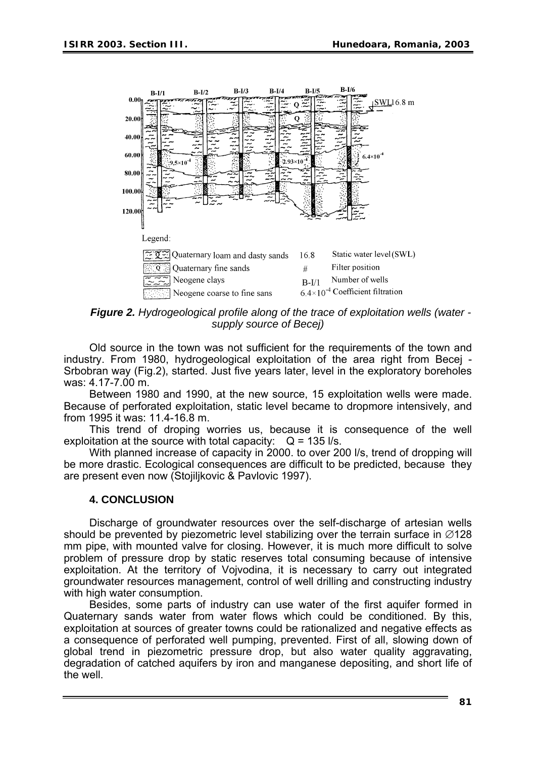

*Figure 2. Hydrogeological profile along of the trace of exploitation wells (water supply source of Becej)* 

Old source in the town was not sufficient for the requirements of the town and industry. From 1980, hydrogeological exploitation of the area right from Becej - Srbobran way (Fig.2), started. Just five years later, level in the exploratory boreholes was: 4.17-7.00 m.

Between 1980 and 1990, at the new source, 15 exploitation wells were made. Because of perforated exploitation, static level became to dropmore intensively, and from 1995 it was: 11.4-16.8 m.

This trend of droping worries us, because it is consequence of the well exploitation at the source with total capacity:  $Q = 135$  I/s.

With planned increase of capacity in 2000. to over 200 l/s, trend of dropping will be more drastic. Ecological consequences are difficult to be predicted, because they are present even now (Stojiljkovic & Pavlovic 1997).

### **4. CONCLUSION**

Discharge of groundwater resources over the self-discharge of artesian wells should be prevented by piezometric level stabilizing over the terrain surface in ∅128 mm pipe, with mounted valve for closing. However, it is much more difficult to solve problem of pressure drop by static reserves total consuming because of intensive exploitation. At the territory of Vojvodina, it is necessary to carry out integrated groundwater resources management, control of well drilling and constructing industry with high water consumption.

Besides, some parts of industry can use water of the first aquifer formed in Quaternary sands water from water flows which could be conditioned. By this, exploitation at sources of greater towns could be rationalized and negative effects as a consequence of perforated well pumping, prevented. First of all, slowing down of global trend in piezometric pressure drop, but also water quality aggravating, degradation of catched aquifers by iron and manganese depositing, and short life of the well.